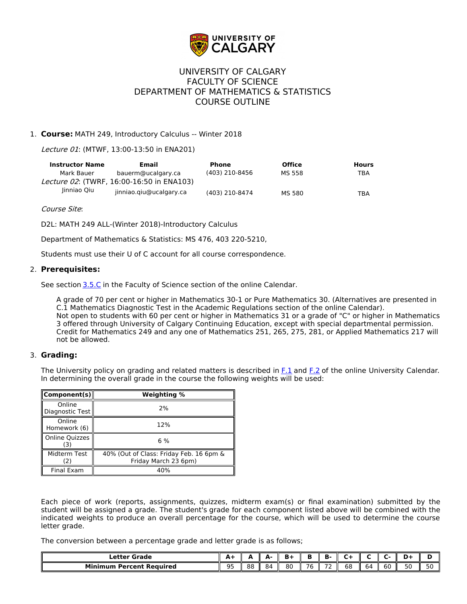

## UNIVERSITY OF CALGARY FACULTY OF SCIENCE DEPARTMENT OF MATHEMATICS & STATISTICS COURSE OUTLINE

## 1. **Course:** MATH 249, Introductory Calculus -- Winter 2018

Lecture 01: (MTWF, 13:00-13:50 in ENA201)

| <b>Instructor Name</b> | Email                                             | <b>Phone</b>   | <b>Office</b> | <b>Hours</b> |
|------------------------|---------------------------------------------------|----------------|---------------|--------------|
| Mark Bauer             | bauerm@ucalgary.ca                                | (403) 210-8456 | MS 558        | TBA          |
|                        | <i>Lecture 02</i> : (TWRF. 16:00-16:50 in ENA103) |                |               |              |
| Jinniao Qiu            | iinniao.giu@ucalgary.ca                           | (403) 210-8474 | MS 580        | <b>TBA</b>   |

#### Course Site:

D2L: MATH 249 ALL-(Winter 2018)-Introductory Calculus

Department of Mathematics & Statistics: MS 476, 403 220-5210,

Students must use their U of C account for all course correspondence.

#### 2. **Prerequisites:**

See section [3.5.C](http://www.ucalgary.ca/pubs/calendar/current/sc-3-5.html) in the Faculty of Science section of the online Calendar.

A grade of 70 per cent or higher in Mathematics 30-1 or Pure Mathematics 30. (Alternatives are presented in C.1 Mathematics Diagnostic Test in the Academic Regulations section of the online Calendar). Not open to students with 60 per cent or higher in Mathematics 31 or a grade of "C" or higher in Mathematics 3 offered through University of Calgary Continuing Education, except with special departmental permission. Credit for Mathematics 249 and any one of Mathematics 251, 265, 275, 281, or Applied Mathematics 217 will not be allowed.

### 3. **Grading:**

The University policy on grading and related matters is described in [F.1](http://www.ucalgary.ca/pubs/calendar/current/f-1.html) and [F.2](http://www.ucalgary.ca/pubs/calendar/current/f-2.html) of the online University Calendar. In determining the overall grade in the course the following weights will be used:

| Component(s)                 | <b>Weighting %</b>                                              |  |  |
|------------------------------|-----------------------------------------------------------------|--|--|
| Online<br>Diagnostic Test    | 2%                                                              |  |  |
| Online<br>Homework (6)       | 12%                                                             |  |  |
| <b>Online Quizzes</b><br>(3) | 6 %                                                             |  |  |
| Midterm Test<br>(2)          | 40% (Out of Class: Friday Feb. 16 6pm &<br>Friday March 23 6pm) |  |  |
| Final Exam                   | 40%                                                             |  |  |

Each piece of work (reports, assignments, quizzes, midterm exam(s) or final examination) submitted by the student will be assigned a grade. The student's grade for each component listed above will be combined with the indicated weights to produce an overall percentage for the course, which will be used to determine the course letter grade.

The conversion between a percentage grade and letter grade is as follows;

| Letter Grade             | - 1            |    | л. | B+ | г                    | в.                 |           |    |    |    |  |
|--------------------------|----------------|----|----|----|----------------------|--------------------|-----------|----|----|----|--|
| Minimum Percent Reauired | $\Omega$<br>-- | 88 | 84 | 80 | $\sim$ $\sim$<br>/ b | $\sim$ $\sim$<br>- | - -<br>ხშ | 64 | 60 | טכ |  |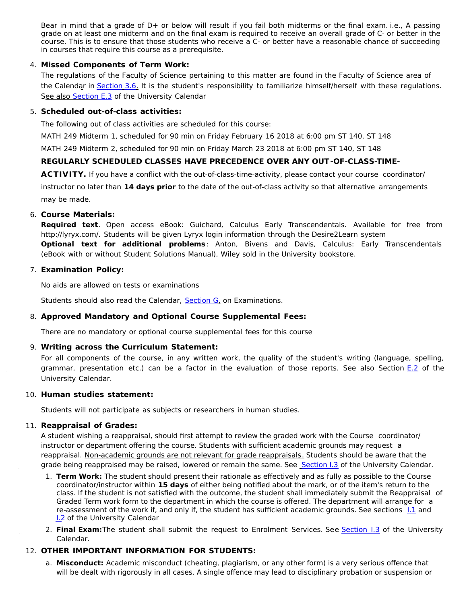Bear in mind that a grade of D+ or below will result if you fail both midterms or the final exam. i.e., A passing grade on at least one midterm and on the final exam is required to receive an overall grade of C- or better in the course. This is to ensure that those students who receive a C- or better have a reasonable chance of succeeding in courses that require this course as a prerequisite.

## 4. **Missed Components of Term Work:**

The regulations of the Faculty of Science pertaining to this matter are found in the Faculty of Science area of the Calendar in [Section 3.6.](http://www.ucalgary.ca/pubs/calendar/current/sc-3-6.html) It is the student's responsibility to familiarize himself/herself with these regulations. See also [Section E.3](http://www.ucalgary.ca/pubs/calendar/current/e-3.html) of the University Calendar

## 5. **Scheduled out-of-class activities:**

The following out of class activities are scheduled for this course:

MATH 249 Midterm 1, scheduled for 90 min on Friday February 16 2018 at 6:00 pm ST 140, ST 148

MATH 249 Midterm 2, scheduled for 90 min on Friday March 23 2018 at 6:00 pm ST 140, ST 148

## **REGULARLY SCHEDULED CLASSES HAVE PRECEDENCE OVER ANY OUT -OF-CLASS-TIME-**

**ACTIVITY.** If you have a conflict with the out-of-class-time-activity, please contact your course coordinator/ instructor no later than **14 days prior** to the date of the out-of-class activity so that alternative arrangements may be made.

## 6. **Course Materials:**

**Required text**. Open access eBook: Guichard, Calculus Early Transcendentals. Available for free from http://lyryx.com/. Students will be given Lyryx login information through the Desire2Learn system **Optional text for additional problems**: Anton, Bivens and Davis, Calculus: Early Transcendentals (eBook with or without Student Solutions Manual), Wiley sold in the University bookstore.

### 7. **Examination Policy:**

No aids are allowed on tests or examinations

Students should also read the Calendar, [Section G,](http://www.ucalgary.ca/pubs/calendar/current/g.html) on Examinations.

## 8. **Approved Mandatory and Optional Course Supplemental Fees:**

There are no mandatory or optional course supplemental fees for this course

### 9. **Writing across the Curriculum Statement:**

For all components of the course, in any written work, the quality of the student's writing (language, spelling, grammar, presentation etc.) can be a factor in the evaluation of those reports. See also Section [E.2](http://www.ucalgary.ca/pubs/calendar/current/e-2.html) of the University Calendar.

### 10. **Human studies statement:**

Students will not participate as subjects or researchers in human studies.

### 11. **Reappraisal of Grades:**

A student wishing a reappraisal, should first attempt to review the graded work with the Course coordinator/ instructor or department offering the course. Students with sufficient academic grounds may request a reappraisal. Non-academic grounds are not relevant for grade reappraisals. Students should be aware that the grade being reappraised may be raised, lowered or remain the same. See [Section I.3](http://www.ucalgary.ca/pubs/calendar/current/i-3.html) of the University Calendar.

- 1. **Term Work:** The student should present their rationale as effectively and as fully as possible to the Course coordinator/instructor within **15 days** of either being notified about the mark, or of the item's return to the class. If the student is not satisfied with the outcome, the student shall immediately submit the Reappraisal of Graded Term work form to the department in which the course is offered. The department will arrange for a re-assessment of the work if, and only if, the student has sufficient academic grounds. See sections  $1.1$  and **[I.](http://www.ucalgary.ca/pubs/calendar/current/i-2.html)2** of the University Calendar
- 2. **Final Exam:**The student shall submit the request to Enrolment Services. See [Section I.3](http://www.ucalgary.ca/pubs/calendar/current/i-3.html) of the University Calendar.

## 12. **OTHER IMPORTANT INFORMATION FOR STUDENTS:**

a. **Misconduct:** Academic misconduct (cheating, plagiarism, or any other form) is a very serious offence that will be dealt with rigorously in all cases. A single offence may lead to disciplinary probation or suspension or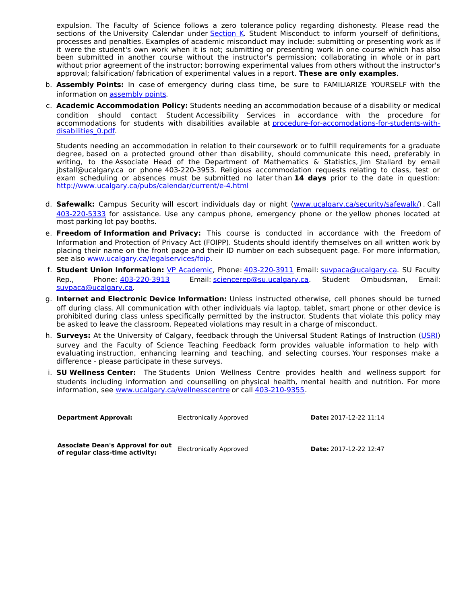expulsion. The Faculty of Science follows a zero tolerance policy regarding dishonesty. Please read the sections of the University Calendar under [Section K](http://www.ucalgary.ca/pubs/calendar/current/k.html). Student Misconduct to inform yourself of definitions, processes and penalties. Examples of academic misconduct may include: submitting or presenting work as if it were the student's own work when it is not; submitting or presenting work in one course which has also been submitted in another course without the instructor's permission; collaborating in whole or in part without prior agreement of the instructor; borrowing experimental values from others without the instructor's approval; falsification/ fabrication of experimental values in a report. **These are only examples**.

- b. **Assembly Points:** In case of emergency during class time, be sure to FAMILIARIZE YOURSELF with the information on [assembly points](http://www.ucalgary.ca/emergencyplan/assemblypoints).
- c. **Academic Accommodation Policy:** Students needing an accommodation because of a disability or medical condition should contact Student Accessibility Services in accordance with the procedure for [accommodations for students with disabilities available at procedure-for-accomodations-for-students-with](http://www.ucalgary.ca/policies/files/policies/procedure-for-accommodations-for-students-with-disabilities_0.pdf)disabilities 0.pdf.

Students needing an accommodation in relation to their coursework or to fulfill requirements for a graduate degree, based on a protected ground other than disability, should communicate this need, preferably in writing, to the Associate Head of the Department of Mathematics & Statistics, Jim Stallard by email jbstall@ucalgary.ca or phone 403-220-3953. Religious accommodation requests relating to class, test or exam scheduling or absences must be submitted no later than **14 days** prior to the date in question: <http://www.ucalgary.ca/pubs/calendar/current/e-4.html>

- d. **Safewalk:** Campus Security will escort individuals day or night [\(www.ucalgary.ca/security/safewalk/](http://www.ucalgary.ca/security/safewalk/)) . Call [403-220-5333](tel:4032205333) for assistance. Use any campus phone, emergency phone or the yellow phones located at most parking lot pay booths.
- e. **Freedom of Information and Privacy:** This course is conducted in accordance with the Freedom of Information and Protection of Privacy Act (FOIPP). Students should identify themselves on all written work by placing their name on the front page and their ID number on each subsequent page. For more information, see also [www.ucalgary.ca/legalservices/foip](http://www.ucalgary.ca/legalservices/foip).
- f. **Student Union Information:** [VP Academic](http://www.su.ucalgary.ca/contact), Phone: [403-220-3911](tel:4032203911) Email: [suvpaca@ucalgary.ca](mailto:suvpaca@ucalgary.ca). SU Faculty Rep., Phone: [403-220-3913](tel:4032203913) Email: [sciencerep@su.ucalgary.ca](mailto:sciencerep@su.ucalgary.ca). Student Ombudsman, Email: [suvpaca@ucalgary.ca](mailto:suvpaca@ucalgary.ca).
- g. **Internet and Electronic Device Information:** Unless instructed otherwise, cell phones should be turned off during class. All communication with other individuals via laptop, tablet, smart phone or other device is prohibited during class unless specifically permitted by the instructor. Students that violate this policy may be asked to leave the classroom. Repeated violations may result in a charge of misconduct.
- h. **Surveys:** At the University of Calgary, feedback through the Universal Student Ratings of Instruction [\(USRI](http://www.ucalgary.ca/usri)) survey and the Faculty of Science Teaching Feedback form provides valuable information to help with evaluating instruction, enhancing learning and teaching, and selecting courses. Your responses make a difference - please participate in these surveys.
- i. **SU Wellness Center:** The Students Union Wellness Centre provides health and wellness support for students including information and counselling on physical health, mental health and nutrition. For more information, see [www.ucalgary.ca/wellnesscentre](http://www.ucalgary.ca/wellnesscentre) or call [403-210-9355](tel:4032109355).

| <b>Department Approval:</b> |  |
|-----------------------------|--|
|-----------------------------|--|

Electronically Approved **Date:** 2017-12-22 11:14

**Associate Dean's Approval for out of regular class-time activity:** Electronically Approved **Date:** 2017-12-22 12:47